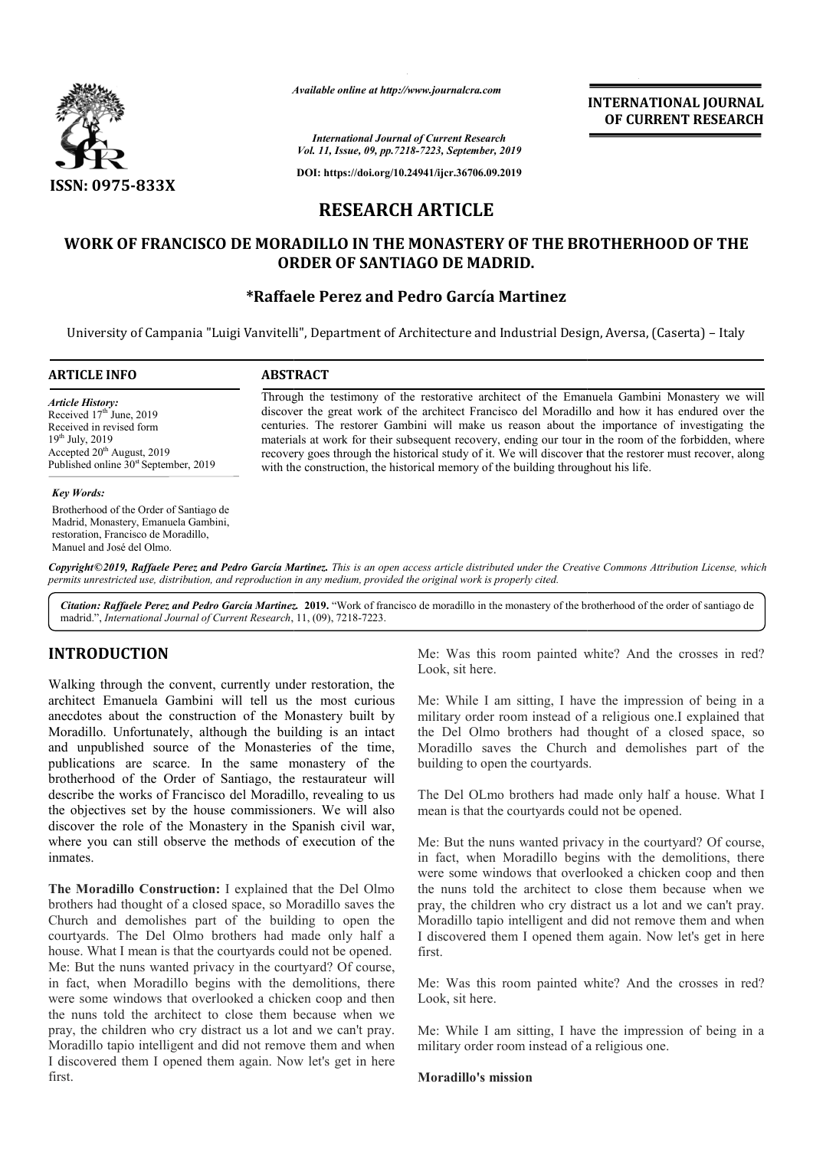

*Available online at http://www.journalcra.com*

# **RESEARCH ARTICLE**

### **WORK OF FRANCISCO DE MORADILLO IN THE MONASTERY OF THE BROTHERHOOD OF THE BROTHERHOOD OF ORDER OF SANTIAGO DE MADRID.**

### **\*Raffaele Perez and Pedro García Martinez Raffaele**

|                                                                                                                                                                                                                                                                                                                                                                                                                                           | лтанион опине игнир.// www.journancra.com                                                                                                                                                                                                                                                                                                                                                                                                                                                                                                                                                                  |                                                                                                       | <b>INTERNATIONAL JOURNAL</b><br>OF CURRENT RESEARCH                                                                                                                                                                                                          |  |
|-------------------------------------------------------------------------------------------------------------------------------------------------------------------------------------------------------------------------------------------------------------------------------------------------------------------------------------------------------------------------------------------------------------------------------------------|------------------------------------------------------------------------------------------------------------------------------------------------------------------------------------------------------------------------------------------------------------------------------------------------------------------------------------------------------------------------------------------------------------------------------------------------------------------------------------------------------------------------------------------------------------------------------------------------------------|-------------------------------------------------------------------------------------------------------|--------------------------------------------------------------------------------------------------------------------------------------------------------------------------------------------------------------------------------------------------------------|--|
|                                                                                                                                                                                                                                                                                                                                                                                                                                           |                                                                                                                                                                                                                                                                                                                                                                                                                                                                                                                                                                                                            | <b>International Journal of Current Research</b><br>Vol. 11, Issue, 09, pp.7218-7223, September, 2019 |                                                                                                                                                                                                                                                              |  |
| ISSN: 0975-833X                                                                                                                                                                                                                                                                                                                                                                                                                           |                                                                                                                                                                                                                                                                                                                                                                                                                                                                                                                                                                                                            | DOI: https://doi.org/10.24941/ijcr.36706.09.2019                                                      |                                                                                                                                                                                                                                                              |  |
|                                                                                                                                                                                                                                                                                                                                                                                                                                           | <b>RESEARCH ARTICLE</b>                                                                                                                                                                                                                                                                                                                                                                                                                                                                                                                                                                                    |                                                                                                       |                                                                                                                                                                                                                                                              |  |
|                                                                                                                                                                                                                                                                                                                                                                                                                                           | <b>ORDER OF SANTIAGO DE MADRID.</b>                                                                                                                                                                                                                                                                                                                                                                                                                                                                                                                                                                        |                                                                                                       | WORK OF FRANCISCO DE MORADILLO IN THE MONASTERY OF THE BROTHERHOOD OF THE                                                                                                                                                                                    |  |
|                                                                                                                                                                                                                                                                                                                                                                                                                                           | *Raffaele Perez and Pedro García Martinez                                                                                                                                                                                                                                                                                                                                                                                                                                                                                                                                                                  |                                                                                                       | University of Campania "Luigi Vanvitelli", Department of Architecture and Industrial Design, Aversa, (Caserta) – Italy                                                                                                                                       |  |
| <b>ARTICLE INFO</b>                                                                                                                                                                                                                                                                                                                                                                                                                       | <b>ABSTRACT</b>                                                                                                                                                                                                                                                                                                                                                                                                                                                                                                                                                                                            |                                                                                                       |                                                                                                                                                                                                                                                              |  |
| <b>Article History:</b><br>Received 17 <sup>th</sup> June, 2019<br>Received in revised form<br>19 <sup>th</sup> July, 2019<br>Accepted 20 <sup>th</sup> August, 2019<br>Published online 30 <sup>st</sup> September, 2019                                                                                                                                                                                                                 | Through the testimony of the restorative architect of the Emanuela Gambini Monastery we will<br>discover the great work of the architect Francisco del Moradillo and how it has endured over the<br>centuries. The restorer Gambini will make us reason about the importance of investigating the<br>materials at work for their subsequent recovery, ending our tour in the room of the forbidden, where<br>recovery goes through the historical study of it. We will discover that the restorer must recover, along<br>with the construction, the historical memory of the building throughout his life. |                                                                                                       |                                                                                                                                                                                                                                                              |  |
| <b>Key Words:</b><br>Brotherhood of the Order of Santiago de<br>Madrid, Monastery, Emanuela Gambini,<br>restoration, Francisco de Moradillo,<br>Manuel and José del Olmo.                                                                                                                                                                                                                                                                 |                                                                                                                                                                                                                                                                                                                                                                                                                                                                                                                                                                                                            |                                                                                                       |                                                                                                                                                                                                                                                              |  |
| permits unrestricted use, distribution, and reproduction in any medium, provided the original work is properly cited.                                                                                                                                                                                                                                                                                                                     |                                                                                                                                                                                                                                                                                                                                                                                                                                                                                                                                                                                                            |                                                                                                       | Copyright©2019, Raffaele Perez and Pedro García Martinez. This is an open access article distributed under the Creative Commons Attribution License, which                                                                                                   |  |
| madrid.", International Journal of Current Research, 11, (09), 7218-7223.                                                                                                                                                                                                                                                                                                                                                                 |                                                                                                                                                                                                                                                                                                                                                                                                                                                                                                                                                                                                            |                                                                                                       | Citation: Raffaele Perez and Pedro García Martinez. 2019. "Work of francisco de moradillo in the monastery of the brotherhood of the order of santiago de                                                                                                    |  |
| <b>INTRODUCTION</b>                                                                                                                                                                                                                                                                                                                                                                                                                       |                                                                                                                                                                                                                                                                                                                                                                                                                                                                                                                                                                                                            | Look, sit here.                                                                                       | Me: Was this room painted white? And the crosses in red?                                                                                                                                                                                                     |  |
| Walking through the convent, currently under restoration, the<br>architect Emanuela Gambini will tell us the most curious<br>anecdotes about the construction of the Monastery built by<br>Moradillo. Unfortunately, although the building is an intact<br>and unpublished source of the Monasteries of the time,<br>publications are scarce. In the same monastery of the<br>brotherhood of the Order of Santiago, the restaurateur will |                                                                                                                                                                                                                                                                                                                                                                                                                                                                                                                                                                                                            | building to open the courtyards.                                                                      | Me: While I am sitting, I have the impression of being in a<br>military order room instead of a religious one.I explained that<br>the Del Olmo brothers had thought of a closed space, so<br>Moradillo saves the Church and demolishes part of the           |  |
| describe the works of Francisco del Moradillo, revealing to us<br>the objectives set by the house commissioners. We will also<br>discover the role of the Monastery in the Spanish civil war,                                                                                                                                                                                                                                             |                                                                                                                                                                                                                                                                                                                                                                                                                                                                                                                                                                                                            | mean is that the courty and could not be opened.                                                      | The Del OLmo brothers had made only half a house. What I                                                                                                                                                                                                     |  |
| where you can still observe the methods of execution of the<br>inmates.                                                                                                                                                                                                                                                                                                                                                                   |                                                                                                                                                                                                                                                                                                                                                                                                                                                                                                                                                                                                            |                                                                                                       | Me: But the nuns wanted privacy in the courtyard? Of course,<br>in fact, when Moradillo begins with the demolitions, there<br>were some windows that overlooked a chicken coop and then                                                                      |  |
| The Moradillo Construction: I explained that the Del Olmo<br>brothers had thought of a closed space, so Moradillo saves the<br>Church and demolishes part of the building to open the<br>courtyards. The Del Olmo brothers had made only half a<br>house. What I mean is that the courty and sould not be opened.<br>Me: But the nuns wanted privacy in the courtyard? Of course,                                                         |                                                                                                                                                                                                                                                                                                                                                                                                                                                                                                                                                                                                            | first.                                                                                                | the nuns told the architect to close them because when we<br>pray, the children who cry distract us a lot and we can't pray.<br>Moradillo tapio intelligent and did not remove them and when<br>I discovered them I opened them again. Now let's get in here |  |
| in fact, when Moradillo begins with the demolitions, there<br>were some windows that overlooked a chicken coop and then<br>the nuns told the architect to close them because when we                                                                                                                                                                                                                                                      |                                                                                                                                                                                                                                                                                                                                                                                                                                                                                                                                                                                                            | Look, sit here.                                                                                       | Me: Was this room painted white? And the crosses in red?                                                                                                                                                                                                     |  |
| pray, the children who cry distract us a lot and we can't pray.                                                                                                                                                                                                                                                                                                                                                                           |                                                                                                                                                                                                                                                                                                                                                                                                                                                                                                                                                                                                            |                                                                                                       | Me: While I am sitting, I have the impression of being in a                                                                                                                                                                                                  |  |

## **INTRODUCTION**

**The Moradillo Construction:** I explained that the Del Olmo brothers had thought of a closed space, so Moradillo saves the Church and demolishes part of the building to open the courtyards. The Del Olmo brothers had made only half a house. What I mean is that the courtyards could not be opened. Me: But the nuns wanted privacy in the courtyard? Of course, in fact, when Moradillo begins with the demolitions, there were some windows that overlooked a chicken coop and then the nuns told the architect to close them because when we pray, the children who cry distract us a lot and we can't pray. Moradillo tapio intelligent and did not remove them and when I discovered them I opened them again. Now let's get in here first. e the methods of execution of the<br>ion: I explained that the Del Olmo<br>losed space, so Moradillo saves the<br>aart of the building to open the<br>b brothers had made only half a<br>he courtyards could not be opened.<br>rivacy in the cou

Me: While I am sitting, I have the impression of being in a military order room instead of a religious one.

#### **Moradillo's mission**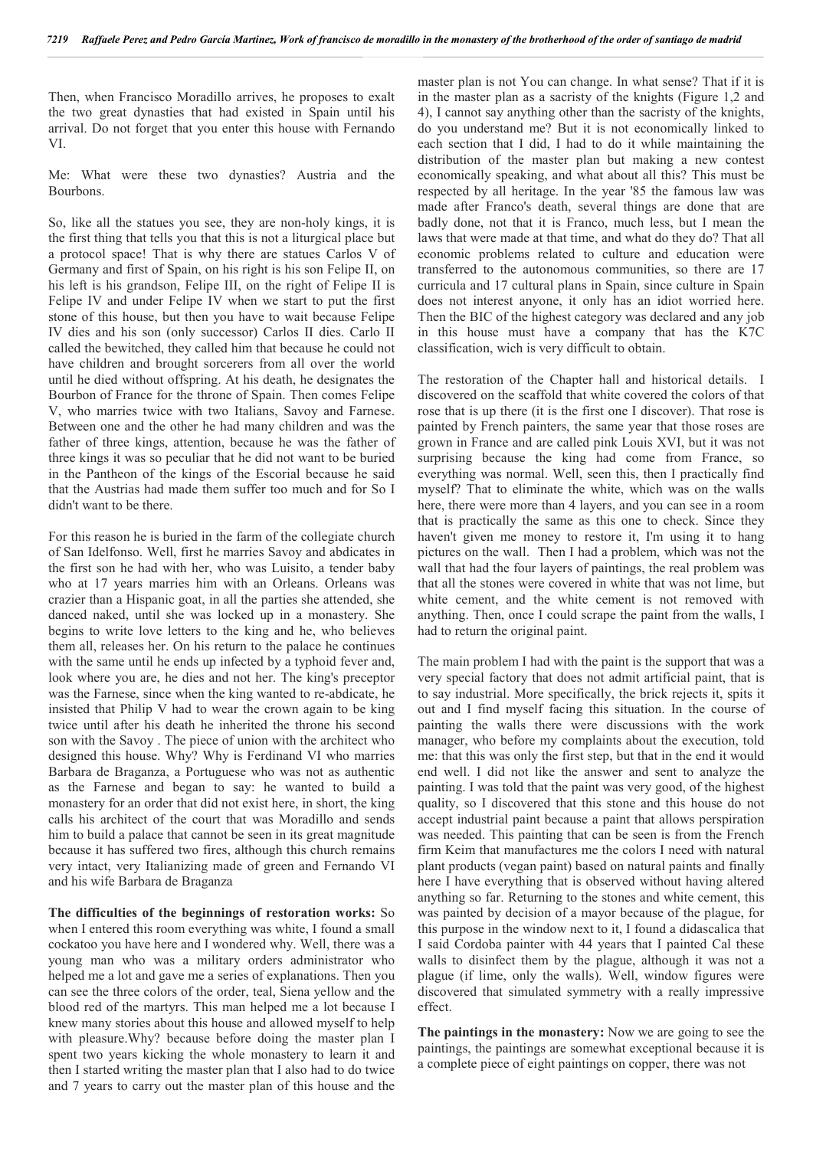Then, when Francisco Moradillo arrives, he proposes to exalt the two great dynasties that had existed in Spain until his arrival. Do not forget that you enter this house with Fernando VI.

Me: What were these two dynasties? Austria and the Bourbons.

So, like all the statues you see, they are non-holy kings, it is the first thing that tells you that this is not a liturgical place but a protocol space! That is why there are statues Carlos V of Germany and first of Spain, on his right is his son Felipe II, on his left is his grandson, Felipe III, on the right of Felipe II is Felipe IV and under Felipe IV when we start to put the first stone of this house, but then you have to wait because Felipe IV dies and his son (only successor) Carlos II dies. Carlo II called the bewitched, they called him that because he could not have children and brought sorcerers from all over the world until he died without offspring. At his death, he designates the Bourbon of France for the throne of Spain. Then comes Felipe V, who marries twice with two Italians, Savoy and Farnese. Between one and the other he had many children and was the father of three kings, attention, because he was the father of three kings it was so peculiar that he did not want to be buried in the Pantheon of the kings of the Escorial because he said that the Austrias had made them suffer too much and for So I didn't want to be there.

For this reason he is buried in the farm of the collegiate church of San Idelfonso. Well, first he marries Savoy and abdicates in the first son he had with her, who was Luisito, a tender baby who at 17 years marries him with an Orleans. Orleans was crazier than a Hispanic goat, in all the parties she attended, she danced naked, until she was locked up in a monastery. She begins to write love letters to the king and he, who believes them all, releases her. On his return to the palace he continues with the same until he ends up infected by a typhoid fever and, look where you are, he dies and not her. The king's preceptor was the Farnese, since when the king wanted to re-abdicate, he insisted that Philip V had to wear the crown again to be king twice until after his death he inherited the throne his second son with the Savoy . The piece of union with the architect who designed this house. Why? Why is Ferdinand VI who marries Barbara de Braganza, a Portuguese who was not as authentic as the Farnese and began to say: he wanted to build a monastery for an order that did not exist here, in short, the king calls his architect of the court that was Moradillo and sends him to build a palace that cannot be seen in its great magnitude because it has suffered two fires, although this church remains very intact, very Italianizing made of green and Fernando VI and his wife Barbara de Braganza

**The difficulties of the beginnings of restoration works:** So when I entered this room everything was white, I found a small cockatoo you have here and I wondered why. Well, there was a young man who was a military orders administrator who helped me a lot and gave me a series of explanations. Then you can see the three colors of the order, teal, Siena yellow and the blood red of the martyrs. This man helped me a lot because I knew many stories about this house and allowed myself to help with pleasure.Why? because before doing the master plan I spent two years kicking the whole monastery to learn it and then I started writing the master plan that I also had to do twice and 7 years to carry out the master plan of this house and the master plan is not You can change. In what sense? That if it is in the master plan as a sacristy of the knights (Figure 1,2 and 4), I cannot say anything other than the sacristy of the knights, do you understand me? But it is not economically linked to each section that I did, I had to do it while maintaining the distribution of the master plan but making a new contest economically speaking, and what about all this? This must be respected by all heritage. In the year '85 the famous law was made after Franco's death, several things are done that are badly done, not that it is Franco, much less, but I mean the laws that were made at that time, and what do they do? That all economic problems related to culture and education were transferred to the autonomous communities, so there are 17 curricula and 17 cultural plans in Spain, since culture in Spain does not interest anyone, it only has an idiot worried here. Then the BIC of the highest category was declared and any job in this house must have a company that has the K7C classification, wich is very difficult to obtain.

The restoration of the Chapter hall and historical details. I discovered on the scaffold that white covered the colors of that rose that is up there (it is the first one I discover). That rose is painted by French painters, the same year that those roses are grown in France and are called pink Louis XVI, but it was not surprising because the king had come from France, so everything was normal. Well, seen this, then I practically find myself? That to eliminate the white, which was on the walls here, there were more than 4 layers, and you can see in a room that is practically the same as this one to check. Since they haven't given me money to restore it, I'm using it to hang pictures on the wall. Then I had a problem, which was not the wall that had the four layers of paintings, the real problem was that all the stones were covered in white that was not lime, but white cement, and the white cement is not removed with anything. Then, once I could scrape the paint from the walls, I had to return the original paint.

The main problem I had with the paint is the support that was a very special factory that does not admit artificial paint, that is to say industrial. More specifically, the brick rejects it, spits it out and I find myself facing this situation. In the course of painting the walls there were discussions with the work manager, who before my complaints about the execution, told me: that this was only the first step, but that in the end it would end well. I did not like the answer and sent to analyze the painting. I was told that the paint was very good, of the highest quality, so I discovered that this stone and this house do not accept industrial paint because a paint that allows perspiration was needed. This painting that can be seen is from the French firm Keim that manufactures me the colors I need with natural plant products (vegan paint) based on natural paints and finally here I have everything that is observed without having altered anything so far. Returning to the stones and white cement, this was painted by decision of a mayor because of the plague, for this purpose in the window next to it, I found a didascalica that I said Cordoba painter with 44 years that I painted Cal these walls to disinfect them by the plague, although it was not a plague (if lime, only the walls). Well, window figures were discovered that simulated symmetry with a really impressive effect.

**The paintings in the monastery:** Now we are going to see the paintings, the paintings are somewhat exceptional because it is a complete piece of eight paintings on copper, there was not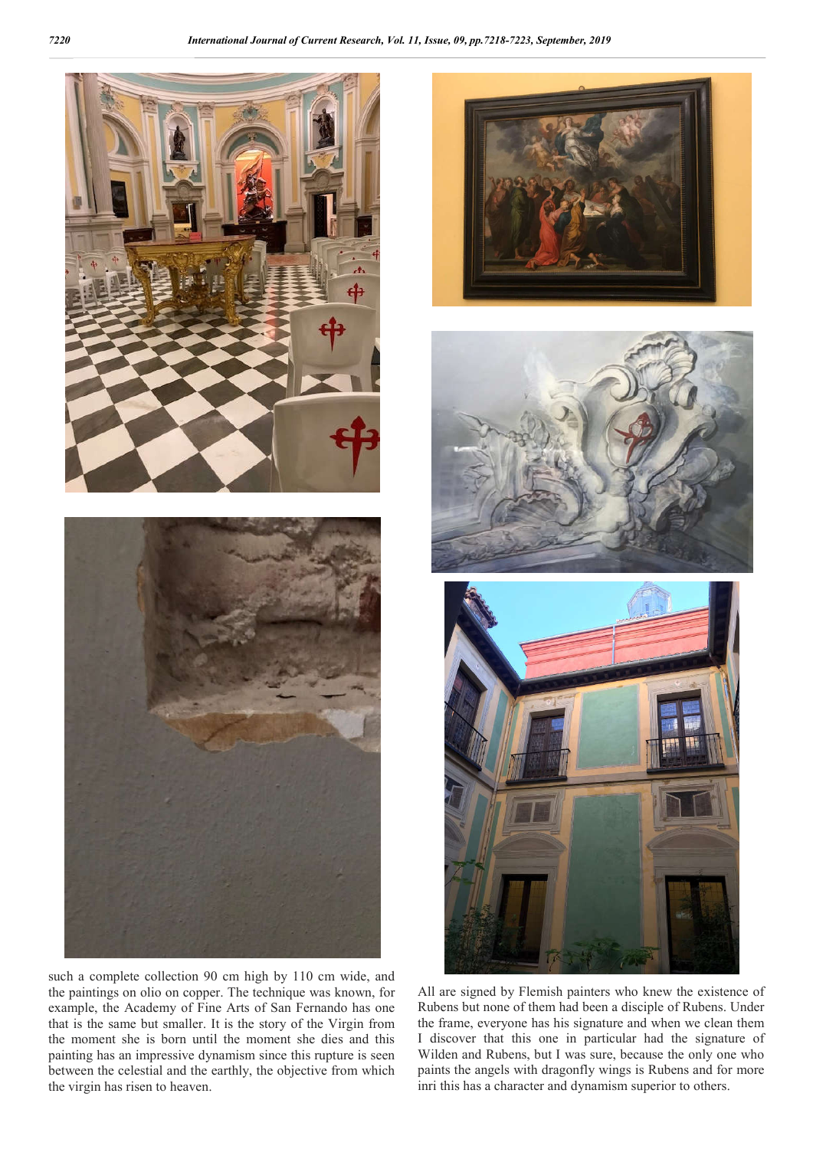



the paintings on olio on copper. The technique was known, for example, the Academy of Fine Arts of San Fernando has one that is the same but smaller. It is the story of the Virgin from the moment she is born until the moment she dies and this painting has an impressive dynamism since this rupture is seen between the celestial and the earthly, the objective from which the virgin has risen to heaven.





All are signed by Flemish painters who knew the existence of Rubens but none of them had been a disciple of Rubens. Under the frame, everyone has his signature and when we clean them I discover that this one in particular had the signature of Wilden and Rubens, but I was sure, because the only one who paints the angels with dragonfly wings is Rubens and for more inri this has a character and dynamism superior to others.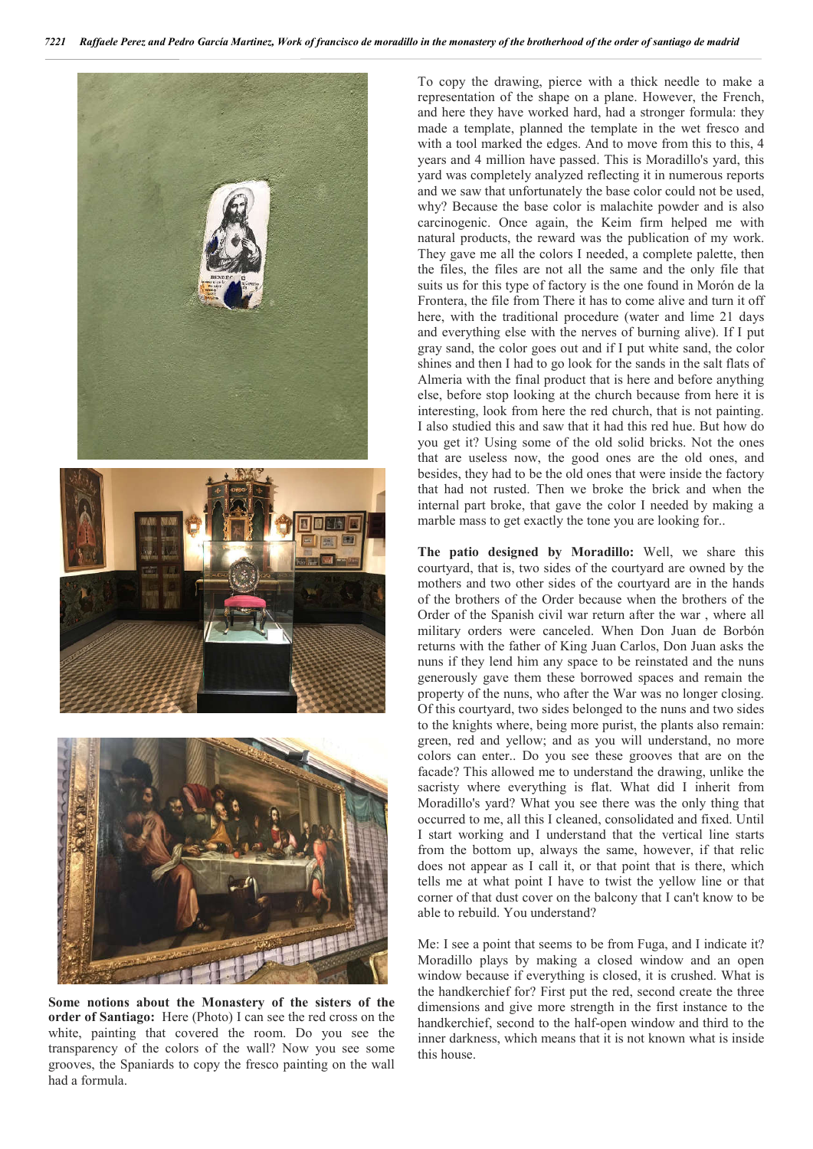





**Some notions about the Monastery of the sisters of the order of Santiago:** Here (Photo) I can see the red cross on the white, painting that covered the room. Do you see the transparency of the colors of the wall? Now you see some grooves, the Spaniards to copy the fresco painting on the wall had a formula.

To copy the drawing, pierce with a thick needle to make a representation of the shape on a plane. However, the French, and here they have worked hard, had a stronger formula: they made a template, planned the template in the wet fresco and with a tool marked the edges. And to move from this to this, 4 years and 4 million have passed. This is Moradillo's yard, this yard was completely analyzed reflecting it in numerous reports and we saw that unfortunately the base color could not be used, why? Because the base color is malachite powder and is also carcinogenic. Once again, the Keim firm helped me with natural products, the reward was the publication of my work. They gave me all the colors I needed, a complete palette, then the files, the files are not all the same and the only file that suits us for this type of factory is the one found in Morón de la Frontera, the file from There it has to come alive and turn it off here, with the traditional procedure (water and lime 21 days and everything else with the nerves of burning alive). If I put gray sand, the color goes out and if I put white sand, the color shines and then I had to go look for the sands in the salt flats of Almeria with the final product that is here and before anything else, before stop looking at the church because from here it is interesting, look from here the red church, that is not painting. I also studied this and saw that it had this red hue. But how do you get it? Using some of the old solid bricks. Not the ones that are useless now, the good ones are the old ones, and besides, they had to be the old ones that were inside the factory that had not rusted. Then we broke the brick and when the internal part broke, that gave the color I needed by making a marble mass to get exactly the tone you are looking for..

**The patio designed by Moradillo:** Well, we share this courtyard, that is, two sides of the courtyard are owned by the mothers and two other sides of the courtyard are in the hands of the brothers of the Order because when the brothers of the Order of the Spanish civil war return after the war , where all military orders were canceled. When Don Juan de Borbón returns with the father of King Juan Carlos, Don Juan asks the nuns if they lend him any space to be reinstated and the nuns generously gave them these borrowed spaces and remain the property of the nuns, who after the War was no longer closing. Of this courtyard, two sides belonged to the nuns and two sides to the knights where, being more purist, the plants also remain: green, red and yellow; and as you will understand, no more colors can enter.. Do you see these grooves that are on the facade? This allowed me to understand the drawing, unlike the sacristy where everything is flat. What did I inherit from Moradillo's yard? What you see there was the only thing that occurred to me, all this I cleaned, consolidated and fixed. Until I start working and I understand that the vertical line starts from the bottom up, always the same, however, if that relic does not appear as I call it, or that point that is there, which tells me at what point I have to twist the yellow line or that corner of that dust cover on the balcony that I can't know to be able to rebuild. You understand?

Me: I see a point that seems to be from Fuga, and I indicate it? Moradillo plays by making a closed window and an open window because if everything is closed, it is crushed. What is the handkerchief for? First put the red, second create the three dimensions and give more strength in the first instance to the handkerchief, second to the half-open window and third to the inner darkness, which means that it is not known what is inside this house.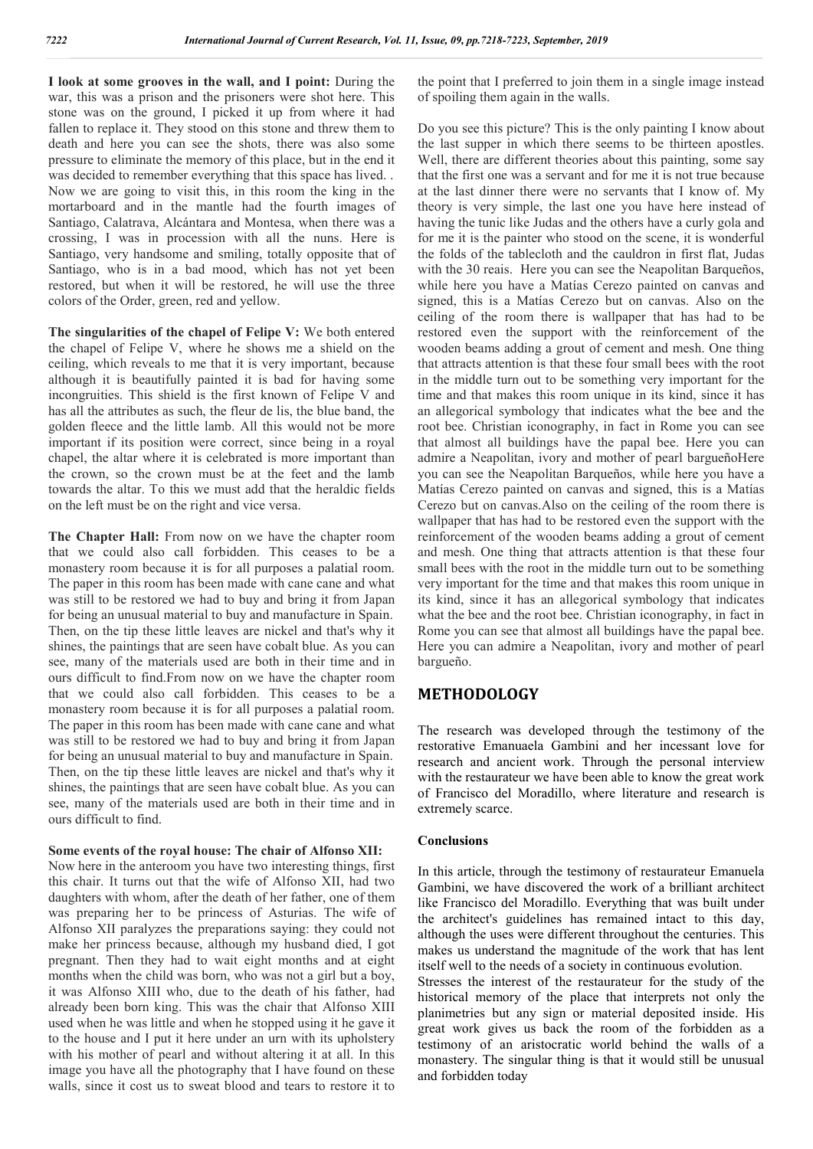**I look at some grooves in the wall, and I point:** During the war, this was a prison and the prisoners were shot here. This stone was on the ground, I picked it up from where it had fallen to replace it. They stood on this stone and threw them to death and here you can see the shots, there was also some pressure to eliminate the memory of this place, but in the end it was decided to remember everything that this space has lived. . Now we are going to visit this, in this room the king in the mortarboard and in the mantle had the fourth images of Santiago, Calatrava, Alcántara and Montesa, when there was a crossing, I was in procession with all the nuns. Here is Santiago, very handsome and smiling, totally opposite that of Santiago, who is in a bad mood, which has not yet been restored, but when it will be restored, he will use the three colors of the Order, green, red and yellow.

**The singularities of the chapel of Felipe V:** We both entered the chapel of Felipe V, where he shows me a shield on the ceiling, which reveals to me that it is very important, because although it is beautifully painted it is bad for having some incongruities. This shield is the first known of Felipe V and has all the attributes as such, the fleur de lis, the blue band, the golden fleece and the little lamb. All this would not be more important if its position were correct, since being in a royal chapel, the altar where it is celebrated is more important than the crown, so the crown must be at the feet and the lamb towards the altar. To this we must add that the heraldic fields on the left must be on the right and vice versa.

**The Chapter Hall:** From now on we have the chapter room that we could also call forbidden. This ceases to be a monastery room because it is for all purposes a palatial room. The paper in this room has been made with cane cane and what was still to be restored we had to buy and bring it from Japan for being an unusual material to buy and manufacture in Spain. Then, on the tip these little leaves are nickel and that's why it shines, the paintings that are seen have cobalt blue. As you can see, many of the materials used are both in their time and in ours difficult to find.From now on we have the chapter room that we could also call forbidden. This ceases to be a monastery room because it is for all purposes a palatial room. The paper in this room has been made with cane cane and what was still to be restored we had to buy and bring it from Japan for being an unusual material to buy and manufacture in Spain. Then, on the tip these little leaves are nickel and that's why it shines, the paintings that are seen have cobalt blue. As you can see, many of the materials used are both in their time and in ours difficult to find.

#### **Some events of the royal house: The chair of Alfonso XII:**

Now here in the anteroom you have two interesting things, first this chair. It turns out that the wife of Alfonso XII, had two daughters with whom, after the death of her father, one of them was preparing her to be princess of Asturias. The wife of Alfonso XII paralyzes the preparations saying: they could not make her princess because, although my husband died, I got pregnant. Then they had to wait eight months and at eight months when the child was born, who was not a girl but a boy, it was Alfonso XIII who, due to the death of his father, had already been born king. This was the chair that Alfonso XIII used when he was little and when he stopped using it he gave it to the house and I put it here under an urn with its upholstery with his mother of pearl and without altering it at all. In this image you have all the photography that I have found on these walls, since it cost us to sweat blood and tears to restore it to

the point that I preferred to join them in a single image instead of spoiling them again in the walls.

Do you see this picture? This is the only painting I know about the last supper in which there seems to be thirteen apostles. Well, there are different theories about this painting, some say that the first one was a servant and for me it is not true because at the last dinner there were no servants that I know of. My theory is very simple, the last one you have here instead of having the tunic like Judas and the others have a curly gola and for me it is the painter who stood on the scene, it is wonderful the folds of the tablecloth and the cauldron in first flat, Judas with the 30 reais. Here you can see the Neapolitan Barqueños, while here you have a Matías Cerezo painted on canvas and signed, this is a Matías Cerezo but on canvas. Also on the ceiling of the room there is wallpaper that has had to be restored even the support with the reinforcement of the wooden beams adding a grout of cement and mesh. One thing that attracts attention is that these four small bees with the root in the middle turn out to be something very important for the time and that makes this room unique in its kind, since it has an allegorical symbology that indicates what the bee and the root bee. Christian iconography, in fact in Rome you can see that almost all buildings have the papal bee. Here you can admire a Neapolitan, ivory and mother of pearl bargueñoHere you can see the Neapolitan Barqueños, while here you have a Matías Cerezo painted on canvas and signed, this is a Matías Cerezo but on canvas.Also on the ceiling of the room there is wallpaper that has had to be restored even the support with the reinforcement of the wooden beams adding a grout of cement and mesh. One thing that attracts attention is that these four small bees with the root in the middle turn out to be something very important for the time and that makes this room unique in its kind, since it has an allegorical symbology that indicates what the bee and the root bee. Christian iconography, in fact in Rome you can see that almost all buildings have the papal bee. Here you can admire a Neapolitan, ivory and mother of pearl bargueño.

### **METHODOLOGY**

The research was developed through the testimony of the restorative Emanuaela Gambini and her incessant love for research and ancient work. Through the personal interview with the restaurateur we have been able to know the great work of Francisco del Moradillo, where literature and research is extremely scarce.

#### **Conclusions**

In this article, through the testimony of restaurateur Emanuela Gambini, we have discovered the work of a brilliant architect like Francisco del Moradillo. Everything that was built under the architect's guidelines has remained intact to this day, although the uses were different throughout the centuries. This makes us understand the magnitude of the work that has lent itself well to the needs of a society in continuous evolution.

Stresses the interest of the restaurateur for the study of the historical memory of the place that interprets not only the planimetries but any sign or material deposited inside. His great work gives us back the room of the forbidden as a testimony of an aristocratic world behind the walls of a monastery. The singular thing is that it would still be unusual and forbidden today